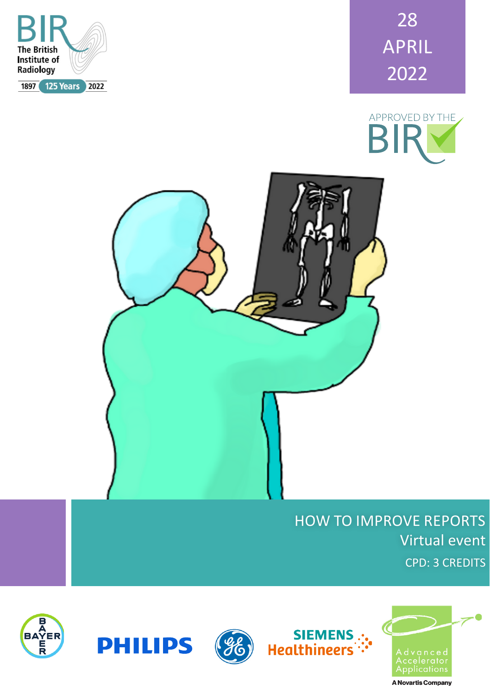

28 APRIL 2022





# HOW TO IMPROVE REPORTS Virtual event CPD: 3 CREDITS







siEMENS<br>":-Healthineers

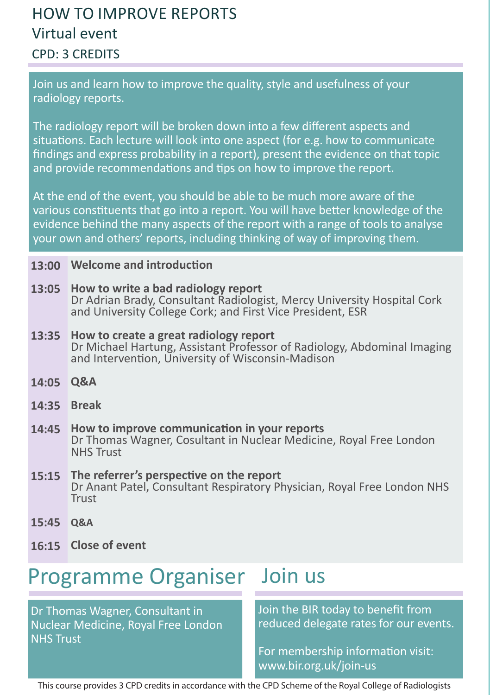## HOW TO IMPROVE REPORTS Virtual event CPD: 3 CREDITS

Join us and learn how to improve the quality, style and usefulness of your radiology reports.

The radiology report will be broken down into a few different aspects and situations. Each lecture will look into one aspect (for e.g. how to communicate findings and express probability in a report), present the evidence on that topic and provide recommendations and tips on how to improve the report.

At the end of the event, you should be able to be much more aware of the various constituents that go into a report. You will have better knowledge of the evidence behind the many aspects of the report with a range of tools to analyse your own and others' reports, including thinking of way of improving them.

### **Welcome and introduction 13:00**

- **How to write a bad radiology report 13:05** Dr Adrian Brady, Consultant Radiologist, Mercy University Hospital Cork and University College Cork; and First Vice President, ESR
- **How to create a great radiology report** Dr Michael Hartung, Assistant Professor of Radiology, Abdominal Imaging and Intervention, University of Wisconsin-Madison **13:35**
- **Q&A 14:05**
- **Break 14:35**
- **How to improve communication in your reports** Dr Thomas Wagner, Cosultant in Nuclear Medicine, Royal Free London NHS Trust **14:45**
- **The referrer's perspective on the report** Dr Anant Patel, Consultant Respiratory Physician, Royal Free London NHS Trust **15:15**
- **Q&A 15:45**
- **Close of event 16:15**

# Programme Organiser Join us

Dr Thomas Wagner, Consultant in Nuclear Medicine, Royal Free London NHS Trust

Join the BIR today to benefit from reduced delegate rates for our events.

For membership information visit: www.bir.org.uk/join-us

This course provides 3 CPD credits in accordance with the CPD Scheme of the Royal College of Radiologists